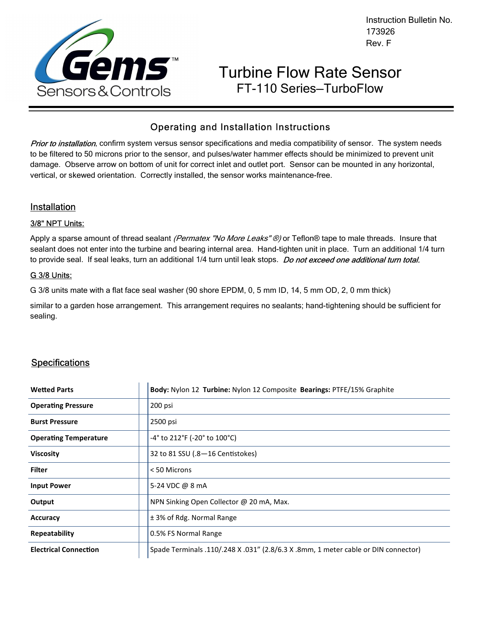

Instruction Bulletin No. 173926 Rev. F

# Turbine Flow Rate Sensor FT-110 Series—TurboFlow

# Operating and Installation Instructions

Prior to installation, confirm system versus sensor specifications and media compatibility of sensor. The system needs to be filtered to 50 microns prior to the sensor, and pulses/water hammer effects should be minimized to prevent unit damage. Observe arrow on bottom of unit for correct inlet and outlet port. Sensor can be mounted in any horizontal, vertical, or skewed orientation. Correctly installed, the sensor works maintenance-free.

### Installation

#### 3/8" NPT Units:

Apply a sparse amount of thread sealant *(Permatex "No More Leaks" ®)* or Teflon® tape to male threads. Insure that sealant does not enter into the turbine and bearing internal area. Hand-tighten unit in place. Turn an additional 1/4 turn to provide seal. If seal leaks, turn an additional 1/4 turn until leak stops. Do not exceed one additional turn total.

#### G 3/8 Units:

G 3/8 units mate with a flat face seal washer (90 shore EPDM, 0, 5 mm ID, 14, 5 mm OD, 2, 0 mm thick)

similar to a garden hose arrangement. This arrangement requires no sealants; hand-tightening should be sufficient for sealing.

## **Specifications**

| <b>Wetted Parts</b>          | Body: Nylon 12 Turbine: Nylon 12 Composite Bearings: PTFE/15% Graphite             |
|------------------------------|------------------------------------------------------------------------------------|
| <b>Operating Pressure</b>    | 200 psi                                                                            |
| <b>Burst Pressure</b>        | 2500 psi                                                                           |
| <b>Operating Temperature</b> | -4° to 212°F (-20° to 100°C)                                                       |
| <b>Viscosity</b>             | 32 to 81 SSU (.8-16 Centistokes)                                                   |
| <b>Filter</b>                | < 50 Microns                                                                       |
| <b>Input Power</b>           | 5-24 VDC @ 8 mA                                                                    |
| Output                       | NPN Sinking Open Collector @ 20 mA, Max.                                           |
| <b>Accuracy</b>              | ± 3% of Rdg. Normal Range                                                          |
| Repeatability                | 0.5% FS Normal Range                                                               |
| <b>Electrical Connection</b> | Spade Terminals .110/.248 X .031" (2.8/6.3 X .8mm, 1 meter cable or DIN connector) |